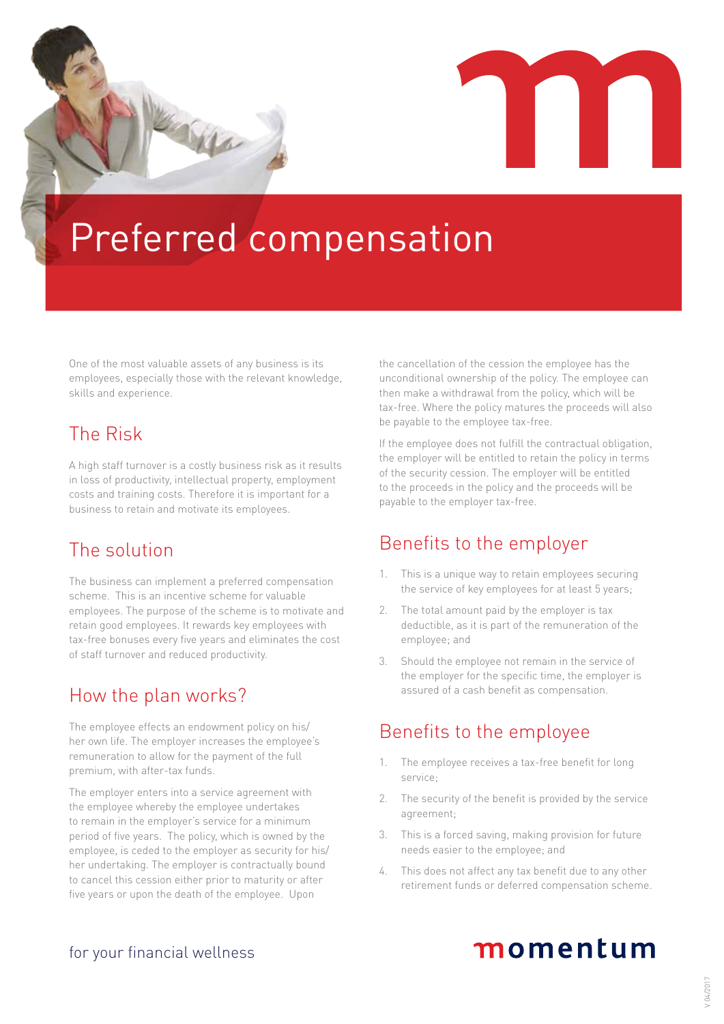# Preferred compensation

One of the most valuable assets of any business is its employees, especially those with the relevant knowledge, skills and experience.

10 Mar

## The Risk

A high staff turnover is a costly business risk as it results in loss of productivity, intellectual property, employment costs and training costs. Therefore it is important for a business to retain and motivate its employees.

## The solution

The business can implement a preferred compensation scheme. This is an incentive scheme for valuable employees. The purpose of the scheme is to motivate and retain good employees. It rewards key employees with tax-free bonuses every five years and eliminates the cost of staff turnover and reduced productivity.

## How the plan works?

The employee effects an endowment policy on his/ her own life. The employer increases the employee's remuneration to allow for the payment of the full premium, with after-tax funds.

The employer enters into a service agreement with the employee whereby the employee undertakes to remain in the employer's service for a minimum period of five years. The policy, which is owned by the employee, is ceded to the employer as security for his/ her undertaking. The employer is contractually bound to cancel this cession either prior to maturity or after five years or upon the death of the employee. Upon

the cancellation of the cession the employee has the unconditional ownership of the policy. The employee can then make a withdrawal from the policy, which will be tax-free. Where the policy matures the proceeds will also be payable to the employee tax-free.

If the employee does not fulfill the contractual obligation, the employer will be entitled to retain the policy in terms of the security cession. The employer will be entitled to the proceeds in the policy and the proceeds will be payable to the employer tax-free.

## Benefits to the employer

- 1. This is a unique way to retain employees securing the service of key employees for at least 5 years;
- 2. The total amount paid by the employer is tax deductible, as it is part of the remuneration of the employee; and
- 3. Should the employee not remain in the service of the employer for the specific time, the employer is assured of a cash benefit as compensation.

## Benefits to the employee

- 1. The employee receives a tax-free benefit for long service;
- 2. The security of the benefit is provided by the service agreement;
- 3. This is a forced saving, making provision for future needs easier to the employee; and
- 4. This does not affect any tax benefit due to any other retirement funds or deferred compensation scheme.

#### for your financial wellness

## momentum